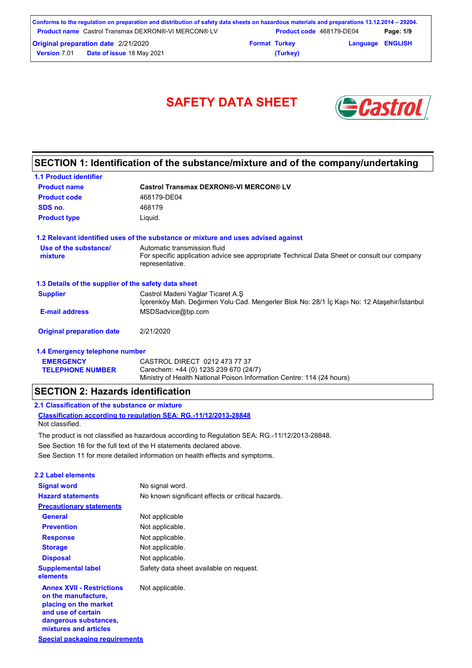| Conforms to the regulation on preparation and distribution of safety data sheets on hazardous materials and preparations 13.12.2014 – 29204. |                      |                          |                         |           |
|----------------------------------------------------------------------------------------------------------------------------------------------|----------------------|--------------------------|-------------------------|-----------|
| <b>Froduct name</b> Castrol Transmax DEXRON®-VI MERCON® LV                                                                                   |                      | Product code 468179-DE04 |                         | Page: 1/9 |
| <b>Original preparation date 2/21/2020</b>                                                                                                   | <b>Format Turkey</b> |                          | <b>Language ENGLISH</b> |           |
| Date of issue 18 May 2021<br><b>Version 7.01</b>                                                                                             |                      | (Turkey)                 |                         |           |

# SAFETY DATA SHEET **SAFETY**



## **SECTION 1: Identification of the substance/mixture and of the company/undertaking**

| <b>1.1 Product identifier</b>                        |                                                                                                                                                |
|------------------------------------------------------|------------------------------------------------------------------------------------------------------------------------------------------------|
| <b>Product name</b>                                  | <b>Castrol Transmax DEXRON®-VI MERCON® LV</b>                                                                                                  |
| <b>Product code</b>                                  | 468179-DE04                                                                                                                                    |
| SDS no.                                              | 468179                                                                                                                                         |
| <b>Product type</b>                                  | Liguid.                                                                                                                                        |
|                                                      | 1.2 Relevant identified uses of the substance or mixture and uses advised against                                                              |
| Use of the substance/<br>mixture                     | Automatic transmission fluid<br>For specific application advice see appropriate Technical Data Sheet or consult our company<br>representative. |
| 1.3 Details of the supplier of the safety data sheet |                                                                                                                                                |
| <b>Supplier</b>                                      | Castrol Madeni Yağlar Ticaret A.Ş<br>Icerenköy Mah. Değirmen Yolu Cad. Mengerler Blok No: 28/1 İç Kapı No: 12 Ataşehir/İstanbul                |
| <b>E-mail address</b>                                | MSDSadvice@bp.com                                                                                                                              |
| <b>Original preparation date</b>                     | 2/21/2020                                                                                                                                      |
| 1.4 Emergency telephone number                       |                                                                                                                                                |
| <b>EMERGENCY</b>                                     | CASTROL DIRECT 0212 473 77 37                                                                                                                  |

Ministry of Health National Poison Information Centre: 114 (24 hours)

### **SECTION 2: Hazards identification**

### **2.1 Classification of the substance or mixture**

**TELEPHONE NUMBER**

**Classification according to regulation SEA: RG.-11/12/2013-28848** Not classified.

See Section 11 for more detailed information on health effects and symptoms. See Section 16 for the full text of the H statements declared above. The product is not classified as hazardous according to Regulation SEA: RG.-11/12/2013-28848.

Carechem: +44 (0) 1235 239 670 (24/7)

| 2.2 Label elements                                                                                                                                       |                                                   |
|----------------------------------------------------------------------------------------------------------------------------------------------------------|---------------------------------------------------|
| <b>Signal word</b>                                                                                                                                       | No signal word.                                   |
| <b>Hazard statements</b>                                                                                                                                 | No known significant effects or critical hazards. |
| <b>Precautionary statements</b>                                                                                                                          |                                                   |
| <b>General</b>                                                                                                                                           | Not applicable                                    |
| <b>Prevention</b>                                                                                                                                        | Not applicable.                                   |
| <b>Response</b>                                                                                                                                          | Not applicable.                                   |
| <b>Storage</b>                                                                                                                                           | Not applicable.                                   |
| <b>Disposal</b>                                                                                                                                          | Not applicable.                                   |
| <b>Supplemental label</b><br>elements                                                                                                                    | Safety data sheet available on request.           |
| <b>Annex XVII - Restrictions</b><br>on the manufacture,<br>placing on the market<br>and use of certain<br>dangerous substances,<br>mixtures and articles | Not applicable.                                   |
| Special packaging requirements                                                                                                                           |                                                   |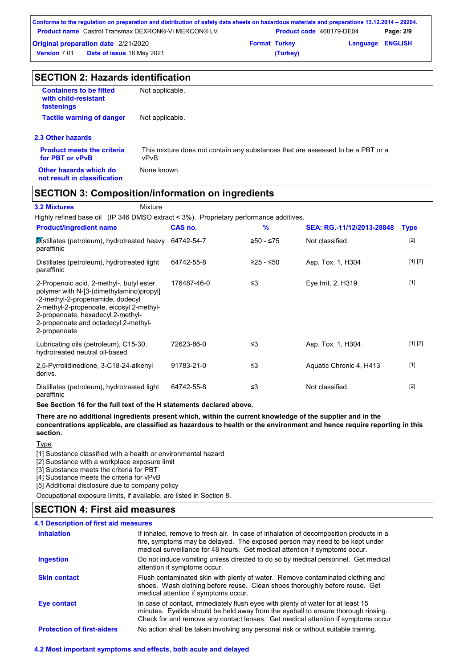| Conforms to the regulation on preparation and distribution of safety data sheets on hazardous materials and preparations 13.12.2014 – 29204. |                      |                                 |                         |           |
|----------------------------------------------------------------------------------------------------------------------------------------------|----------------------|---------------------------------|-------------------------|-----------|
| <b>Product name</b> Castrol Transmax DEXRON®-VI MERCON® LV                                                                                   |                      | <b>Product code</b> 468179-DE04 |                         | Page: 2/9 |
| <b>Original preparation date 2/21/2020</b>                                                                                                   | <b>Format Turkey</b> |                                 | <b>Language ENGLISH</b> |           |
| <b>Date of issue 18 May 2021</b><br><b>Version 7.01</b>                                                                                      |                      | (Turkey)                        |                         |           |

| <b>SECTION 2: Hazards identification</b>                             |                                                                                          |  |  |  |
|----------------------------------------------------------------------|------------------------------------------------------------------------------------------|--|--|--|
| <b>Containers to be fitted</b><br>with child-resistant<br>fastenings | Not applicable.                                                                          |  |  |  |
| <b>Tactile warning of danger</b>                                     | Not applicable.                                                                          |  |  |  |
| 2.3 Other hazards                                                    |                                                                                          |  |  |  |
| <b>Product meets the criteria</b><br>for PBT or vPvB                 | This mixture does not contain any substances that are assessed to be a PBT or a<br>vPvB. |  |  |  |
| Other hazards which do<br>not result in classification               | None known.                                                                              |  |  |  |

### **SECTION 3: Composition/information on ingredients**

**3.2 Mixtures** Mixture

Highly refined base oil (IP 346 DMSO extract < 3%). Proprietary performance additives.

| <b>Product/ingredient name</b>                                                                                                                                                                                                                                     | CAS no.     | $\frac{9}{6}$ | SEA: RG.-11/12/2013-28848 | <b>Type</b> |
|--------------------------------------------------------------------------------------------------------------------------------------------------------------------------------------------------------------------------------------------------------------------|-------------|---------------|---------------------------|-------------|
| Distillates (petroleum), hydrotreated heavy<br>paraffinic                                                                                                                                                                                                          | 64742-54-7  | ≥50 - ≤75     | Not classified.           | $[2]$       |
| Distillates (petroleum), hydrotreated light<br>paraffinic                                                                                                                                                                                                          | 64742-55-8  | ≥25 - ≤50     | Asp. Tox. 1, H304         | [1] [2]     |
| 2-Propenoic acid, 2-methyl-, butyl ester,<br>polymer with N-[3-(dimethylamino)propyl]<br>-2-methyl-2-propenamide, dodecyl<br>2-methyl-2-propenoate, eicosyl 2-methyl-<br>2-propenoate, hexadecyl 2-methyl-<br>2-propenoate and octadecyl 2-methyl-<br>2-propenoate | 176487-46-0 | ≤3            | Eye Irrit. 2, H319        | $[1]$       |
| Lubricating oils (petroleum), C15-30,<br>hydrotreated neutral oil-based                                                                                                                                                                                            | 72623-86-0  | ≤3            | Asp. Tox. 1, H304         | [1] [2]     |
| 2,5-Pyrrolidinedione, 3-C18-24-alkenyl<br>derivs.                                                                                                                                                                                                                  | 91783-21-0  | ≤3            | Aquatic Chronic 4, H413   | $[1]$       |
| Distillates (petroleum), hydrotreated light<br>paraffinic                                                                                                                                                                                                          | 64742-55-8  | ≤3            | Not classified.           | $[2]$       |

**See Section 16 for the full text of the H statements declared above.**

**There are no additional ingredients present which, within the current knowledge of the supplier and in the concentrations applicable, are classified as hazardous to health or the environment and hence require reporting in this section.**

**Type** 

[1] Substance classified with a health or environmental hazard

[2] Substance with a workplace exposure limit

[3] Substance meets the criteria for PBT

[4] Substance meets the criteria for vPvB

[5] Additional disclosure due to company policy

Occupational exposure limits, if available, are listed in Section 8.

### **SECTION 4: First aid measures**

### **4.1 Description of first aid measures**

| <b>Inhalation</b>                 | If inhaled, remove to fresh air. In case of inhalation of decomposition products in a<br>fire, symptoms may be delayed. The exposed person may need to be kept under<br>medical surveillance for 48 hours. Get medical attention if symptoms occur.       |
|-----------------------------------|-----------------------------------------------------------------------------------------------------------------------------------------------------------------------------------------------------------------------------------------------------------|
| <b>Ingestion</b>                  | Do not induce vomiting unless directed to do so by medical personnel. Get medical<br>attention if symptoms occur.                                                                                                                                         |
| <b>Skin contact</b>               | Flush contaminated skin with plenty of water. Remove contaminated clothing and<br>shoes. Wash clothing before reuse. Clean shoes thoroughly before reuse. Get<br>medical attention if symptoms occur.                                                     |
| <b>Eye contact</b>                | In case of contact, immediately flush eyes with plenty of water for at least 15<br>minutes. Eyelids should be held away from the eyeball to ensure thorough rinsing.<br>Check for and remove any contact lenses. Get medical attention if symptoms occur. |
| <b>Protection of first-aiders</b> | No action shall be taken involving any personal risk or without suitable training.                                                                                                                                                                        |

### **4.2 Most important symptoms and effects, both acute and delayed**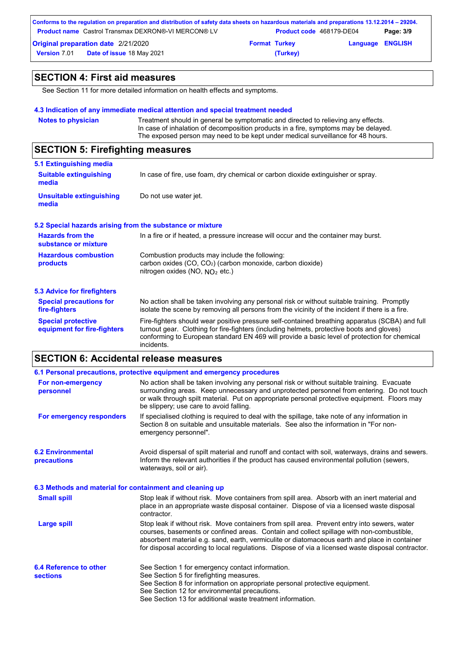|                     | Conforms to the regulation on preparation and distribution of safety data sheets on hazardous materials and preparations 13.12.2014 – 29204. |                      |                                 |                         |           |
|---------------------|----------------------------------------------------------------------------------------------------------------------------------------------|----------------------|---------------------------------|-------------------------|-----------|
|                     | <b>Product name</b> Castrol Transmax DEXRON®-VI MERCON® LV                                                                                   |                      | <b>Product code</b> 468179-DE04 |                         | Page: 3/9 |
|                     | <b>Original preparation date 2/21/2020</b>                                                                                                   | <b>Format Turkey</b> |                                 | <b>Language ENGLISH</b> |           |
| <b>Version 7.01</b> | <b>Date of issue 18 May 2021</b>                                                                                                             |                      | (Turkey)                        |                         |           |

## **SECTION 4: First aid measures**

See Section 11 for more detailed information on health effects and symptoms.

### **4.3 Indication of any immediate medical attention and special treatment needed**

| <b>Notes to physician</b>                                                                                                                                              | Treatment should in general be symptomatic and directed to relieving any effects.                                                                                                                                                                                                                         |  |
|------------------------------------------------------------------------------------------------------------------------------------------------------------------------|-----------------------------------------------------------------------------------------------------------------------------------------------------------------------------------------------------------------------------------------------------------------------------------------------------------|--|
| In case of inhalation of decomposition products in a fire, symptoms may be delayed.<br>The exposed person may need to be kept under medical surveillance for 48 hours. |                                                                                                                                                                                                                                                                                                           |  |
| <b>SECTION 5: Firefighting measures</b>                                                                                                                                |                                                                                                                                                                                                                                                                                                           |  |
| 5.1 Extinguishing media                                                                                                                                                |                                                                                                                                                                                                                                                                                                           |  |
| <b>Suitable extinguishing</b><br>media                                                                                                                                 | In case of fire, use foam, dry chemical or carbon dioxide extinguisher or spray.                                                                                                                                                                                                                          |  |
| <b>Unsuitable extinguishing</b><br>media                                                                                                                               | Do not use water jet.                                                                                                                                                                                                                                                                                     |  |
|                                                                                                                                                                        | 5.2 Special hazards arising from the substance or mixture                                                                                                                                                                                                                                                 |  |
| <b>Hazards from the</b><br>substance or mixture                                                                                                                        | In a fire or if heated, a pressure increase will occur and the container may burst.                                                                                                                                                                                                                       |  |
| <b>Hazardous combustion</b>                                                                                                                                            | Combustion products may include the following:                                                                                                                                                                                                                                                            |  |
| products                                                                                                                                                               | carbon oxides (CO, CO <sub>2</sub> ) (carbon monoxide, carbon dioxide)<br>nitrogen oxides (NO, $NO2$ etc.)                                                                                                                                                                                                |  |
| <b>5.3 Advice for firefighters</b>                                                                                                                                     |                                                                                                                                                                                                                                                                                                           |  |
| <b>Special precautions for</b><br>fire-fighters                                                                                                                        | No action shall be taken involving any personal risk or without suitable training. Promptly<br>isolate the scene by removing all persons from the vicinity of the incident if there is a fire.                                                                                                            |  |
| <b>Special protective</b><br>equipment for fire-fighters                                                                                                               | Fire-fighters should wear positive pressure self-contained breathing apparatus (SCBA) and full<br>turnout gear. Clothing for fire-fighters (including helmets, protective boots and gloves)<br>conforming to European standard EN 469 will provide a basic level of protection for chemical<br>incidents. |  |

## **SECTION 6: Accidental release measures**

|                                                          | 6.1 Personal precautions, protective equipment and emergency procedures                                                                                                                                                                                                                                                                                                                        |
|----------------------------------------------------------|------------------------------------------------------------------------------------------------------------------------------------------------------------------------------------------------------------------------------------------------------------------------------------------------------------------------------------------------------------------------------------------------|
| For non-emergency<br>personnel                           | No action shall be taken involving any personal risk or without suitable training. Evacuate<br>surrounding areas. Keep unnecessary and unprotected personnel from entering. Do not touch<br>or walk through spilt material. Put on appropriate personal protective equipment. Floors may<br>be slippery; use care to avoid falling.                                                            |
| For emergency responders                                 | If specialised clothing is required to deal with the spillage, take note of any information in<br>Section 8 on suitable and unsuitable materials. See also the information in "For non-<br>emergency personnel".                                                                                                                                                                               |
| <b>6.2 Environmental</b><br>precautions                  | Avoid dispersal of spilt material and runoff and contact with soil, waterways, drains and sewers.<br>Inform the relevant authorities if the product has caused environmental pollution (sewers,<br>waterways, soil or air).                                                                                                                                                                    |
| 6.3 Methods and material for containment and cleaning up |                                                                                                                                                                                                                                                                                                                                                                                                |
| <b>Small spill</b>                                       | Stop leak if without risk. Move containers from spill area. Absorb with an inert material and<br>place in an appropriate waste disposal container. Dispose of via a licensed waste disposal<br>contractor.                                                                                                                                                                                     |
| Large spill                                              | Stop leak if without risk. Move containers from spill area. Prevent entry into sewers, water<br>courses, basements or confined areas. Contain and collect spillage with non-combustible,<br>absorbent material e.g. sand, earth, vermiculite or diatomaceous earth and place in container<br>for disposal according to local regulations. Dispose of via a licensed waste disposal contractor. |
| 6.4 Reference to other<br><b>sections</b>                | See Section 1 for emergency contact information.<br>See Section 5 for firefighting measures.<br>See Section 8 for information on appropriate personal protective equipment.<br>See Section 12 for environmental precautions.<br>See Section 13 for additional waste treatment information.                                                                                                     |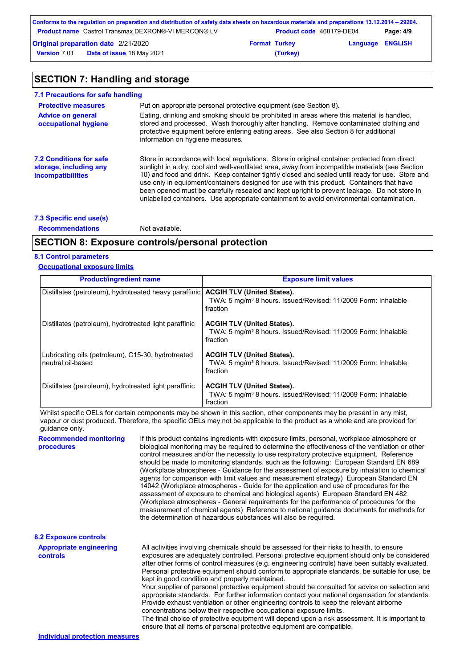| Conforms to the regulation on preparation and distribution of safety data sheets on hazardous materials and preparations 13.12.2014 – 29204. |                      |                          |                         |           |
|----------------------------------------------------------------------------------------------------------------------------------------------|----------------------|--------------------------|-------------------------|-----------|
| <b>Product name</b> Castrol Transmax DEXRON®-VI MERCON® LV                                                                                   |                      | Product code 468179-DE04 |                         | Page: 4/9 |
| <b>Original preparation date 2/21/2020</b>                                                                                                   | <b>Format Turkey</b> |                          | <b>Language ENGLISH</b> |           |
| <b>Date of issue 18 May 2021</b><br><b>Version</b> 7.01                                                                                      |                      | (Turkey)                 |                         |           |

## **SECTION 7: Handling and storage**

| 7.1 Precautions for safe handling                                                    |                                                                                                                                                                                                                                                                                                                                                                                                                                                                                                                                                                                             |
|--------------------------------------------------------------------------------------|---------------------------------------------------------------------------------------------------------------------------------------------------------------------------------------------------------------------------------------------------------------------------------------------------------------------------------------------------------------------------------------------------------------------------------------------------------------------------------------------------------------------------------------------------------------------------------------------|
| <b>Protective measures</b>                                                           | Put on appropriate personal protective equipment (see Section 8).                                                                                                                                                                                                                                                                                                                                                                                                                                                                                                                           |
| <b>Advice on general</b><br>occupational hygiene                                     | Eating, drinking and smoking should be prohibited in areas where this material is handled.<br>stored and processed. Wash thoroughly after handling. Remove contaminated clothing and<br>protective equipment before entering eating areas. See also Section 8 for additional<br>information on hygiene measures.                                                                                                                                                                                                                                                                            |
| <b>7.2 Conditions for safe</b><br>storage, including any<br><i>incompatibilities</i> | Store in accordance with local regulations. Store in original container protected from direct<br>sunlight in a dry, cool and well-ventilated area, away from incompatible materials (see Section<br>10) and food and drink. Keep container tightly closed and sealed until ready for use. Store and<br>use only in equipment/containers designed for use with this product. Containers that have<br>been opened must be carefully resealed and kept upright to prevent leakage. Do not store in<br>unlabelled containers. Use appropriate containment to avoid environmental contamination. |
| 7.3 Specific end use(s)                                                              |                                                                                                                                                                                                                                                                                                                                                                                                                                                                                                                                                                                             |

**Recommendations** Not available.

## **SECTION 8: Exposure controls/personal protection**

### **8.1 Control parameters**

### **Occupational exposure limits**

| <b>Product/ingredient name</b>                                          | <b>Exposure limit values</b>                                                                                               |
|-------------------------------------------------------------------------|----------------------------------------------------------------------------------------------------------------------------|
| Distillates (petroleum), hydrotreated heavy paraffinic                  | <b>ACGIH TLV (United States).</b><br>TWA: 5 mg/m <sup>3</sup> 8 hours. Issued/Revised: 11/2009 Form: Inhalable<br>fraction |
| Distillates (petroleum), hydrotreated light paraffinic                  | <b>ACGIH TLV (United States).</b><br>TWA: 5 mg/m <sup>3</sup> 8 hours. Issued/Revised: 11/2009 Form: Inhalable<br>fraction |
| Lubricating oils (petroleum), C15-30, hydrotreated<br>neutral oil-based | <b>ACGIH TLV (United States).</b><br>TWA: 5 mg/m <sup>3</sup> 8 hours. Issued/Revised: 11/2009 Form: Inhalable<br>fraction |
| Distillates (petroleum), hydrotreated light paraffinic                  | <b>ACGIH TLV (United States).</b><br>TWA: 5 mg/m <sup>3</sup> 8 hours. Issued/Revised: 11/2009 Form: Inhalable<br>fraction |

Whilst specific OELs for certain components may be shown in this section, other components may be present in any mist, vapour or dust produced. Therefore, the specific OELs may not be applicable to the product as a whole and are provided for guidance only.

| <b>Recommended monitoring</b><br>procedures       | If this product contains ingredients with exposure limits, personal, workplace atmosphere or<br>biological monitoring may be required to determine the effectiveness of the ventilation or other<br>control measures and/or the necessity to use respiratory protective equipment. Reference<br>should be made to monitoring standards, such as the following: European Standard EN 689<br>(Workplace atmospheres - Guidance for the assessment of exposure by inhalation to chemical<br>agents for comparison with limit values and measurement strategy) European Standard EN<br>14042 (Workplace atmospheres - Guide for the application and use of procedures for the<br>assessment of exposure to chemical and biological agents) European Standard EN 482<br>(Workplace atmospheres - General requirements for the performance of procedures for the<br>measurement of chemical agents) Reference to national quidance documents for methods for<br>the determination of hazardous substances will also be required. |
|---------------------------------------------------|----------------------------------------------------------------------------------------------------------------------------------------------------------------------------------------------------------------------------------------------------------------------------------------------------------------------------------------------------------------------------------------------------------------------------------------------------------------------------------------------------------------------------------------------------------------------------------------------------------------------------------------------------------------------------------------------------------------------------------------------------------------------------------------------------------------------------------------------------------------------------------------------------------------------------------------------------------------------------------------------------------------------------|
| <b>8.2 Exposure controls</b>                      |                                                                                                                                                                                                                                                                                                                                                                                                                                                                                                                                                                                                                                                                                                                                                                                                                                                                                                                                                                                                                            |
| <b>Appropriate engineering</b><br><b>controls</b> | All activities involving chemicals should be assessed for their risks to health, to ensure<br>exposures are adequately controlled. Personal protective equipment should only be considered<br>after other forms of control measures (e.g. engineering controls) have been suitably evaluated.<br>Personal protective equipment should conform to appropriate standards, be suitable for use, be<br>kept in good condition and properly maintained.<br>Your supplier of personal protective equipment should be consulted for advice on selection and<br>appropriate standards. For further information contact your national organisation for standards.<br>Provide exhaust ventilation or other engineering controls to keep the relevant airborne<br>concentrations below their respective occupational exposure limits.<br>The final choice of protective equipment will depend upon a risk assessment. It is important to<br>ensure that all items of personal protective equipment are compatible.                    |
| Individual protection measures                    |                                                                                                                                                                                                                                                                                                                                                                                                                                                                                                                                                                                                                                                                                                                                                                                                                                                                                                                                                                                                                            |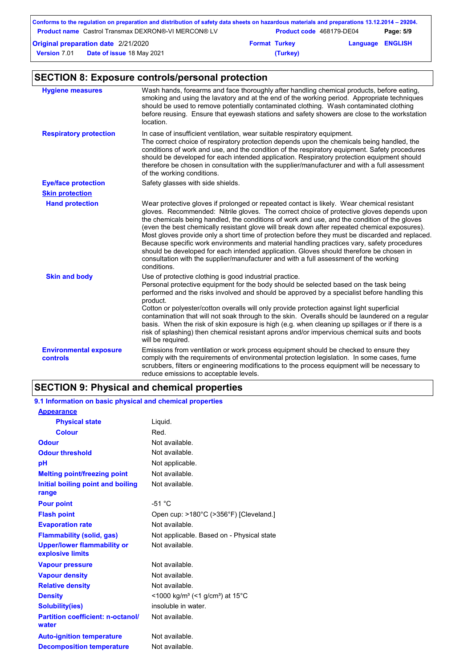| Conforms to the regulation on preparation and distribution of safety data sheets on hazardous materials and preparations 13.12.2014 – 29204. |                      |                          |                         |           |
|----------------------------------------------------------------------------------------------------------------------------------------------|----------------------|--------------------------|-------------------------|-----------|
| <b>Product name</b> Castrol Transmax DEXRON®-VI MERCON® LV                                                                                   |                      | Product code 468179-DE04 |                         | Page: 5/9 |
| <b>Original preparation date 2/21/2020</b>                                                                                                   | <b>Format Turkey</b> |                          | <b>Language ENGLISH</b> |           |
| <b>Version 7.01</b><br><b>Date of issue 18 May 2021</b>                                                                                      |                      | (Turkey)                 |                         |           |

## **SECTION 8: Exposure controls/personal protection**

| <b>Hygiene measures</b>                   | Wash hands, forearms and face thoroughly after handling chemical products, before eating,<br>smoking and using the lavatory and at the end of the working period. Appropriate techniques<br>should be used to remove potentially contaminated clothing. Wash contaminated clothing<br>before reusing. Ensure that eyewash stations and safety showers are close to the workstation<br>location.                                                                                                                                                                                                                                                                                                                                                                                              |
|-------------------------------------------|----------------------------------------------------------------------------------------------------------------------------------------------------------------------------------------------------------------------------------------------------------------------------------------------------------------------------------------------------------------------------------------------------------------------------------------------------------------------------------------------------------------------------------------------------------------------------------------------------------------------------------------------------------------------------------------------------------------------------------------------------------------------------------------------|
| <b>Respiratory protection</b>             | In case of insufficient ventilation, wear suitable respiratory equipment.<br>The correct choice of respiratory protection depends upon the chemicals being handled, the<br>conditions of work and use, and the condition of the respiratory equipment. Safety procedures<br>should be developed for each intended application. Respiratory protection equipment should<br>therefore be chosen in consultation with the supplier/manufacturer and with a full assessment<br>of the working conditions.                                                                                                                                                                                                                                                                                        |
| <b>Eye/face protection</b>                | Safety glasses with side shields.                                                                                                                                                                                                                                                                                                                                                                                                                                                                                                                                                                                                                                                                                                                                                            |
| <b>Skin protection</b>                    |                                                                                                                                                                                                                                                                                                                                                                                                                                                                                                                                                                                                                                                                                                                                                                                              |
| <b>Hand protection</b>                    | Wear protective gloves if prolonged or repeated contact is likely. Wear chemical resistant<br>gloves. Recommended: Nitrile gloves. The correct choice of protective gloves depends upon<br>the chemicals being handled, the conditions of work and use, and the condition of the gloves<br>(even the best chemically resistant glove will break down after repeated chemical exposures).<br>Most gloves provide only a short time of protection before they must be discarded and replaced.<br>Because specific work environments and material handling practices vary, safety procedures<br>should be developed for each intended application. Gloves should therefore be chosen in<br>consultation with the supplier/manufacturer and with a full assessment of the working<br>conditions. |
| <b>Skin and body</b>                      | Use of protective clothing is good industrial practice.<br>Personal protective equipment for the body should be selected based on the task being<br>performed and the risks involved and should be approved by a specialist before handling this<br>product.<br>Cotton or polyester/cotton overalls will only provide protection against light superficial<br>contamination that will not soak through to the skin. Overalls should be laundered on a regular<br>basis. When the risk of skin exposure is high (e.g. when cleaning up spillages or if there is a<br>risk of splashing) then chemical resistant aprons and/or impervious chemical suits and boots<br>will be required.                                                                                                        |
| <b>Environmental exposure</b><br>controls | Emissions from ventilation or work process equipment should be checked to ensure they<br>comply with the requirements of environmental protection legislation. In some cases, fume<br>scrubbers, filters or engineering modifications to the process equipment will be necessary to<br>reduce emissions to acceptable levels.                                                                                                                                                                                                                                                                                                                                                                                                                                                                |

## **SECTION 9: Physical and chemical properties**

## **9.1 Information on basic physical and chemical properties**

| <b>Appearance</b>                                      |                                                                      |
|--------------------------------------------------------|----------------------------------------------------------------------|
| <b>Physical state</b>                                  | Liquid.                                                              |
| <b>Colour</b>                                          | Red.                                                                 |
| Odour                                                  | Not available.                                                       |
| <b>Odour threshold</b>                                 | Not available.                                                       |
| pH                                                     | Not applicable.                                                      |
| <b>Melting point/freezing point</b>                    | Not available.                                                       |
| Initial boiling point and boiling                      | Not available.                                                       |
| range                                                  |                                                                      |
| <b>Pour point</b>                                      | $-51 °C$                                                             |
| <b>Flash point</b>                                     | Open cup: >180°C (>356°F) [Cleveland.]                               |
| <b>Evaporation rate</b>                                | Not available.                                                       |
| <b>Flammability (solid, gas)</b>                       | Not applicable. Based on - Physical state                            |
| <b>Upper/lower flammability or</b><br>explosive limits | Not available.                                                       |
| <b>Vapour pressure</b>                                 | Not available.                                                       |
| <b>Vapour density</b>                                  | Not available.                                                       |
| <b>Relative density</b>                                | Not available.                                                       |
| <b>Density</b>                                         | <1000 kg/m <sup>3</sup> (<1 g/cm <sup>3</sup> ) at 15 <sup>°</sup> C |
| <b>Solubility(ies)</b>                                 | insoluble in water.                                                  |
| <b>Partition coefficient: n-octanol/</b><br>water      | Not available.                                                       |
| <b>Auto-ignition temperature</b>                       | Not available.                                                       |
| <b>Decomposition temperature</b>                       | Not available.                                                       |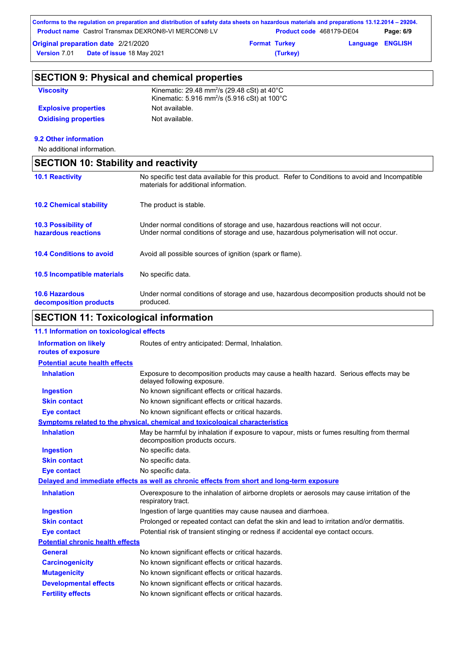| Conforms to the regulation on preparation and distribution of safety data sheets on hazardous materials and preparations 13.12.2014 – 29204. |                                 |                         |           |
|----------------------------------------------------------------------------------------------------------------------------------------------|---------------------------------|-------------------------|-----------|
| <b>Froduct name</b> Castrol Transmax DEXRON®-VI MERCON® LV                                                                                   | <b>Product code 468179-DE04</b> |                         | Page: 6/9 |
| <b>Original preparation date 2/21/2020</b>                                                                                                   | <b>Format Turkey</b>            | <b>Language ENGLISH</b> |           |
| <b>Date of issue 18 May 2021</b><br><b>Version 7.01</b>                                                                                      | (Turkey)                        |                         |           |

| <b>SECTION 9: Physical and chemical properties</b> |  |
|----------------------------------------------------|--|
|----------------------------------------------------|--|

| <b>Viscosity</b>            | Kinematic: 29.48 mm <sup>2</sup> /s (29.48 cSt) at $40^{\circ}$ C<br>Kinematic: 5.916 mm <sup>2</sup> /s (5.916 cSt) at 100 $^{\circ}$ C |
|-----------------------------|------------------------------------------------------------------------------------------------------------------------------------------|
| <b>Explosive properties</b> | Not available.                                                                                                                           |
| <b>Oxidising properties</b> | Not available.                                                                                                                           |

### **9.2 Other information**

No additional information.

| <b>SECTION 10: Stability and reactivity</b>       |                                                                                                                                                                         |  |
|---------------------------------------------------|-------------------------------------------------------------------------------------------------------------------------------------------------------------------------|--|
| <b>10.1 Reactivity</b>                            | No specific test data available for this product. Refer to Conditions to avoid and Incompatible<br>materials for additional information.                                |  |
| <b>10.2 Chemical stability</b>                    | The product is stable.                                                                                                                                                  |  |
| <b>10.3 Possibility of</b><br>hazardous reactions | Under normal conditions of storage and use, hazardous reactions will not occur.<br>Under normal conditions of storage and use, hazardous polymerisation will not occur. |  |
| <b>10.4 Conditions to avoid</b>                   | Avoid all possible sources of ignition (spark or flame).                                                                                                                |  |
| 10.5 Incompatible materials                       | No specific data.                                                                                                                                                       |  |
| <b>10.6 Hazardous</b><br>decomposition products   | Under normal conditions of storage and use, hazardous decomposition products should not be<br>produced.                                                                 |  |

## **SECTION 11: Toxicological information**

| 11.1 Information on toxicological effects          |                                                                                                                             |
|----------------------------------------------------|-----------------------------------------------------------------------------------------------------------------------------|
| <b>Information on likely</b><br>routes of exposure | Routes of entry anticipated: Dermal, Inhalation.                                                                            |
| <b>Potential acute health effects</b>              |                                                                                                                             |
| <b>Inhalation</b>                                  | Exposure to decomposition products may cause a health hazard. Serious effects may be<br>delayed following exposure.         |
| <b>Ingestion</b>                                   | No known significant effects or critical hazards.                                                                           |
| <b>Skin contact</b>                                | No known significant effects or critical hazards.                                                                           |
| <b>Eye contact</b>                                 | No known significant effects or critical hazards.                                                                           |
|                                                    | Symptoms related to the physical, chemical and toxicological characteristics                                                |
| <b>Inhalation</b>                                  | May be harmful by inhalation if exposure to vapour, mists or fumes resulting from thermal<br>decomposition products occurs. |
| <b>Ingestion</b>                                   | No specific data.                                                                                                           |
| <b>Skin contact</b>                                | No specific data.                                                                                                           |
| <b>Eye contact</b>                                 | No specific data.                                                                                                           |
|                                                    | Delayed and immediate effects as well as chronic effects from short and long-term exposure                                  |
| <b>Inhalation</b>                                  | Overexposure to the inhalation of airborne droplets or aerosols may cause irritation of the<br>respiratory tract.           |
| <b>Ingestion</b>                                   | Ingestion of large quantities may cause nausea and diarrhoea.                                                               |
| <b>Skin contact</b>                                | Prolonged or repeated contact can defat the skin and lead to irritation and/or dermatitis.                                  |
| <b>Eye contact</b>                                 | Potential risk of transient stinging or redness if accidental eye contact occurs.                                           |
| <b>Potential chronic health effects</b>            |                                                                                                                             |
| <b>General</b>                                     | No known significant effects or critical hazards.                                                                           |
| <b>Carcinogenicity</b>                             | No known significant effects or critical hazards.                                                                           |
| <b>Mutagenicity</b>                                | No known significant effects or critical hazards.                                                                           |
| <b>Developmental effects</b>                       | No known significant effects or critical hazards.                                                                           |
| <b>Fertility effects</b>                           | No known significant effects or critical hazards.                                                                           |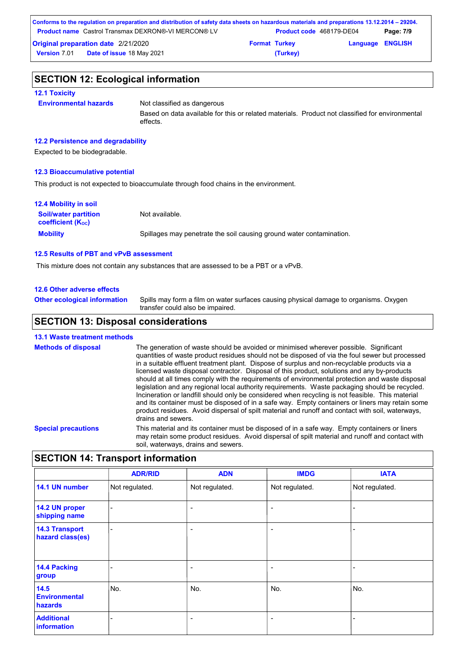| Conforms to the regulation on preparation and distribution of safety data sheets on hazardous materials and preparations 13.12.2014 – 29204. |                      |                          |                         |           |
|----------------------------------------------------------------------------------------------------------------------------------------------|----------------------|--------------------------|-------------------------|-----------|
| <b>Product name</b> Castrol Transmax DEXRON®-VI MERCON® LV                                                                                   |                      | Product code 468179-DE04 |                         | Page: 7/9 |
| <b>Original preparation date 2/21/2020</b>                                                                                                   | <b>Format Turkey</b> |                          | <b>Language ENGLISH</b> |           |
| <b>Date of issue 18 May 2021</b><br><b>Version 7.01</b>                                                                                      |                      | (Turkey)                 |                         |           |

## **SECTION 12: Ecological information**

### **12.1 Toxicity**

**Environmental hazards** Not classified as dangerous

Based on data available for this or related materials. Product not classified for environmental effects.

### **12.2 Persistence and degradability**

Expected to be biodegradable.

### **12.3 Bioaccumulative potential**

This product is not expected to bioaccumulate through food chains in the environment.

| <b>12.4 Mobility in soil</b>                                         |                                                                      |
|----------------------------------------------------------------------|----------------------------------------------------------------------|
| <b>Soil/water partition</b><br><b>coefficient</b> (K <sub>oc</sub> ) | Not available.                                                       |
| <b>Mobility</b>                                                      | Spillages may penetrate the soil causing ground water contamination. |

#### **12.5 Results of PBT and vPvB assessment**

This mixture does not contain any substances that are assessed to be a PBT or a vPvB.

#### **12.6 Other adverse effects**

**Other ecological information**

Spills may form a film on water surfaces causing physical damage to organisms. Oxygen transfer could also be impaired.

## **SECTION 13: Disposal considerations**

### **13.1 Waste treatment methods**

| <b>Methods of disposal</b> | The generation of waste should be avoided or minimised wherever possible. Significant<br>quantities of waste product residues should not be disposed of via the foul sewer but processed<br>in a suitable effluent treatment plant. Dispose of surplus and non-recyclable products via a<br>licensed waste disposal contractor. Disposal of this product, solutions and any by-products<br>should at all times comply with the requirements of environmental protection and waste disposal<br>legislation and any regional local authority requirements. Waste packaging should be recycled.<br>Incineration or landfill should only be considered when recycling is not feasible. This material<br>and its container must be disposed of in a safe way. Empty containers or liners may retain some<br>product residues. Avoid dispersal of spilt material and runoff and contact with soil, waterways,<br>drains and sewers. |
|----------------------------|-------------------------------------------------------------------------------------------------------------------------------------------------------------------------------------------------------------------------------------------------------------------------------------------------------------------------------------------------------------------------------------------------------------------------------------------------------------------------------------------------------------------------------------------------------------------------------------------------------------------------------------------------------------------------------------------------------------------------------------------------------------------------------------------------------------------------------------------------------------------------------------------------------------------------------|
| <b>Special precautions</b> | This material and its container must be disposed of in a safe way. Empty containers or liners<br>may retain some product residues. Avoid dispersal of spilt material and runoff and contact with<br>soil, waterways, drains and sewers.                                                                                                                                                                                                                                                                                                                                                                                                                                                                                                                                                                                                                                                                                       |

### **SECTION 14: Transport information**

|                                           | <b>ADR/RID</b> | <b>ADN</b>               | <b>IMDG</b>              | <b>IATA</b>    |
|-------------------------------------------|----------------|--------------------------|--------------------------|----------------|
| 14.1 UN number                            | Not regulated. | Not regulated.           | Not regulated.           | Not regulated. |
| 14.2 UN proper<br>shipping name           |                | $\overline{\phantom{0}}$ | $\overline{\phantom{0}}$ | -              |
| <b>14.3 Transport</b><br>hazard class(es) |                | $\overline{\phantom{0}}$ | $\overline{\phantom{0}}$ | -              |
| <b>14.4 Packing</b><br>group              |                | $\overline{\phantom{0}}$ | ۰                        | -              |
| 14.5<br><b>Environmental</b><br>hazards   | No.            | No.                      | No.                      | No.            |
| <b>Additional</b><br>information          |                | $\overline{\phantom{0}}$ | $\overline{\phantom{0}}$ |                |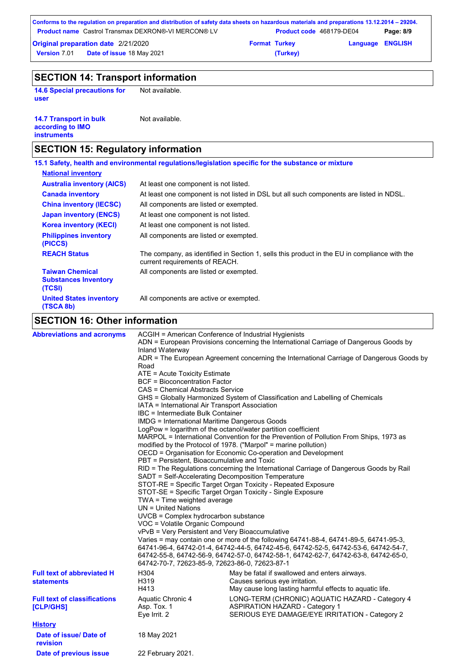|                                                                    | Conforms to the regulation on preparation and distribution of safety data sheets on hazardous materials and preparations 13.12.2014 – 29204. |  |                          |  |           |
|--------------------------------------------------------------------|----------------------------------------------------------------------------------------------------------------------------------------------|--|--------------------------|--|-----------|
|                                                                    | <b>Product name</b> Castrol Transmax DEXRON®-VI MERCON® LV                                                                                   |  | Product code 468179-DE04 |  | Page: 8/9 |
| <b>Original preparation date 2/21/2020</b><br><b>Format Turkey</b> |                                                                                                                                              |  | <b>Language ENGLISH</b>  |  |           |
| <b>Version 7.01</b>                                                | <b>Date of issue 18 May 2021</b>                                                                                                             |  | (Turkey)                 |  |           |

## **SECTION 14: Transport information**

**14.6 Special precautions for user**

Not available.

| <b>14.7 Transport in bulk</b> | Not available. |
|-------------------------------|----------------|
| according to IMO              |                |
| instruments                   |                |

## **SECTION 15: Regulatory information**

|                                                                 | 15.1 Safety, health and environmental regulations/legislation specific for the substance or mixture                            |
|-----------------------------------------------------------------|--------------------------------------------------------------------------------------------------------------------------------|
| <b>National inventory</b>                                       |                                                                                                                                |
| <b>Australia inventory (AICS)</b>                               | At least one component is not listed.                                                                                          |
| <b>Canada inventory</b>                                         | At least one component is not listed in DSL but all such components are listed in NDSL.                                        |
| <b>China inventory (IECSC)</b>                                  | All components are listed or exempted.                                                                                         |
| <b>Japan inventory (ENCS)</b>                                   | At least one component is not listed.                                                                                          |
| <b>Korea inventory (KECI)</b>                                   | At least one component is not listed.                                                                                          |
| <b>Philippines inventory</b><br>(PICCS)                         | All components are listed or exempted.                                                                                         |
| <b>REACH Status</b>                                             | The company, as identified in Section 1, sells this product in the EU in compliance with the<br>current requirements of REACH. |
| <b>Taiwan Chemical</b><br><b>Substances Inventory</b><br>(TCSI) | All components are listed or exempted.                                                                                         |
| <b>United States inventory</b><br>(TSCA 8b)                     | All components are active or exempted.                                                                                         |

## **SECTION 16: Other information**

| <b>Abbreviations and acronyms</b>                      | ACGIH = American Conference of Industrial Hygienists<br>ADN = European Provisions concerning the International Carriage of Dangerous Goods by<br>Inland Waterway<br>ADR = The European Agreement concerning the International Carriage of Dangerous Goods by<br>Road<br>ATE = Acute Toxicity Estimate<br><b>BCF</b> = Bioconcentration Factor<br>CAS = Chemical Abstracts Service<br>GHS = Globally Harmonized System of Classification and Labelling of Chemicals<br>IATA = International Air Transport Association<br>IBC = Intermediate Bulk Container<br><b>IMDG</b> = International Maritime Dangerous Goods<br>LogPow = logarithm of the octanol/water partition coefficient<br>MARPOL = International Convention for the Prevention of Pollution From Ships, 1973 as<br>modified by the Protocol of 1978. ("Marpol" = marine pollution)<br>OECD = Organisation for Economic Co-operation and Development<br>PBT = Persistent, Bioaccumulative and Toxic<br>RID = The Regulations concerning the International Carriage of Dangerous Goods by Rail |                                                                                                                                                                                                                                                                     |  |  |
|--------------------------------------------------------|----------------------------------------------------------------------------------------------------------------------------------------------------------------------------------------------------------------------------------------------------------------------------------------------------------------------------------------------------------------------------------------------------------------------------------------------------------------------------------------------------------------------------------------------------------------------------------------------------------------------------------------------------------------------------------------------------------------------------------------------------------------------------------------------------------------------------------------------------------------------------------------------------------------------------------------------------------------------------------------------------------------------------------------------------------|---------------------------------------------------------------------------------------------------------------------------------------------------------------------------------------------------------------------------------------------------------------------|--|--|
|                                                        | SADT = Self-Accelerating Decomposition Temperature<br>TWA = Time weighted average                                                                                                                                                                                                                                                                                                                                                                                                                                                                                                                                                                                                                                                                                                                                                                                                                                                                                                                                                                        | STOT-RE = Specific Target Organ Toxicity - Repeated Exposure<br>STOT-SE = Specific Target Organ Toxicity - Single Exposure                                                                                                                                          |  |  |
|                                                        | $UN = United Nations$<br>UVCB = Complex hydrocarbon substance<br>VOC = Volatile Organic Compound<br>vPvB = Very Persistent and Very Bioaccumulative<br>64742-70-7, 72623-85-9, 72623-86-0, 72623-87-1                                                                                                                                                                                                                                                                                                                                                                                                                                                                                                                                                                                                                                                                                                                                                                                                                                                    | Varies = may contain one or more of the following 64741-88-4, 64741-89-5, 64741-95-3,<br>64741-96-4, 64742-01-4, 64742-44-5, 64742-45-6, 64742-52-5, 64742-53-6, 64742-54-7,<br>64742-55-8, 64742-56-9, 64742-57-0, 64742-58-1, 64742-62-7, 64742-63-8, 64742-65-0, |  |  |
| <b>Full text of abbreviated H</b><br><b>statements</b> | H304<br>H319<br>H413                                                                                                                                                                                                                                                                                                                                                                                                                                                                                                                                                                                                                                                                                                                                                                                                                                                                                                                                                                                                                                     | May be fatal if swallowed and enters airways.<br>Causes serious eye irritation.<br>May cause long lasting harmful effects to aquatic life.                                                                                                                          |  |  |
| <b>Full text of classifications</b><br>[CLP/GHS]       | Aquatic Chronic 4<br>Asp. Tox. 1<br>Eye Irrit. 2                                                                                                                                                                                                                                                                                                                                                                                                                                                                                                                                                                                                                                                                                                                                                                                                                                                                                                                                                                                                         | LONG-TERM (CHRONIC) AQUATIC HAZARD - Category 4<br><b>ASPIRATION HAZARD - Category 1</b><br>SERIOUS EYE DAMAGE/EYE IRRITATION - Category 2                                                                                                                          |  |  |
| <b>History</b>                                         |                                                                                                                                                                                                                                                                                                                                                                                                                                                                                                                                                                                                                                                                                                                                                                                                                                                                                                                                                                                                                                                          |                                                                                                                                                                                                                                                                     |  |  |
| Date of issue/ Date of<br>revision                     | 18 May 2021                                                                                                                                                                                                                                                                                                                                                                                                                                                                                                                                                                                                                                                                                                                                                                                                                                                                                                                                                                                                                                              |                                                                                                                                                                                                                                                                     |  |  |
| Date of previous issue                                 | 22 February 2021.                                                                                                                                                                                                                                                                                                                                                                                                                                                                                                                                                                                                                                                                                                                                                                                                                                                                                                                                                                                                                                        |                                                                                                                                                                                                                                                                     |  |  |